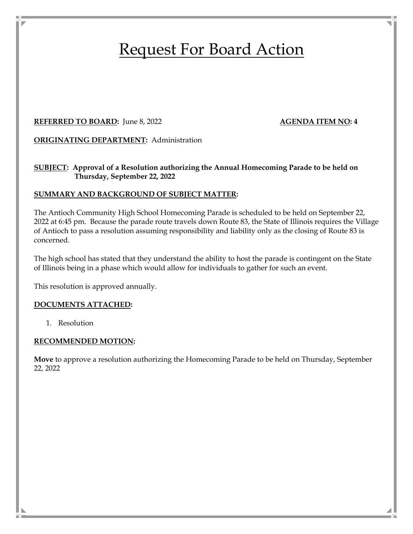# Request For Board Action

#### **REFERRED TO BOARD:** June 8, 2022 **AGENDA ITEM NO: 4**

**ORIGINATING DEPARTMENT:** Administration

# **SUBJECT: Approval of a Resolution authorizing the Annual Homecoming Parade to be held on Thursday, September 22, 2022**

# **SUMMARY AND BACKGROUND OF SUBJECT MATTER:**

The Antioch Community High School Homecoming Parade is scheduled to be held on September 22, 2022 at 6:45 pm. Because the parade route travels down Route 83, the State of Illinois requires the Village of Antioch to pass a resolution assuming responsibility and liability only as the closing of Route 83 is concerned.

The high school has stated that they understand the ability to host the parade is contingent on the State of Illinois being in a phase which would allow for individuals to gather for such an event.

This resolution is approved annually.

# **DOCUMENTS ATTACHED:**

1. Resolution

# **RECOMMENDED MOTION:**

**Move** to approve a resolution authorizing the Homecoming Parade to be held on Thursday, September 22, 2022